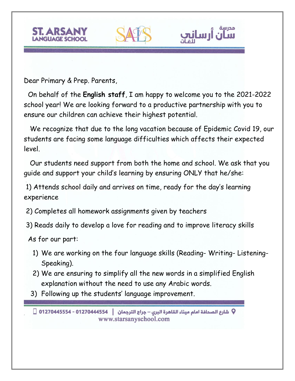



 On behalf of the **English staff**, I am happy to welcome you to the 2021-2022 school year! We are looking forward to a productive partnership with you to ensure our children can achieve their highest potential.

ilm ı

 We recognize that due to the long vacation because of Epidemic Covid 19, our students are facing some language difficulties which affects their expected level.

 Our students need support from both the home and school. We ask that you guide and support your child's learning by ensuring ONLY that he/she:

1) Attends school daily and arrives on time, ready for the day's learning experience

2) Completes all homework assignments given by teachers

3) Reads daily to develop a love for reading and to improve literacy skills

As for our part:

- 1) We are working on the four language skills (Reading- Writing- Listening-Speaking).
- 2) We are ensuring to simplify all the new words in a simplified English explanation without the need to use any Arabic words.
- 3) Following up the students' language improvement.

V شارع الصحافة امام ميناء القاهرة البرى – جراج الترجمان | 01270444554 − 01270445554 | | www.starsanyschool.com